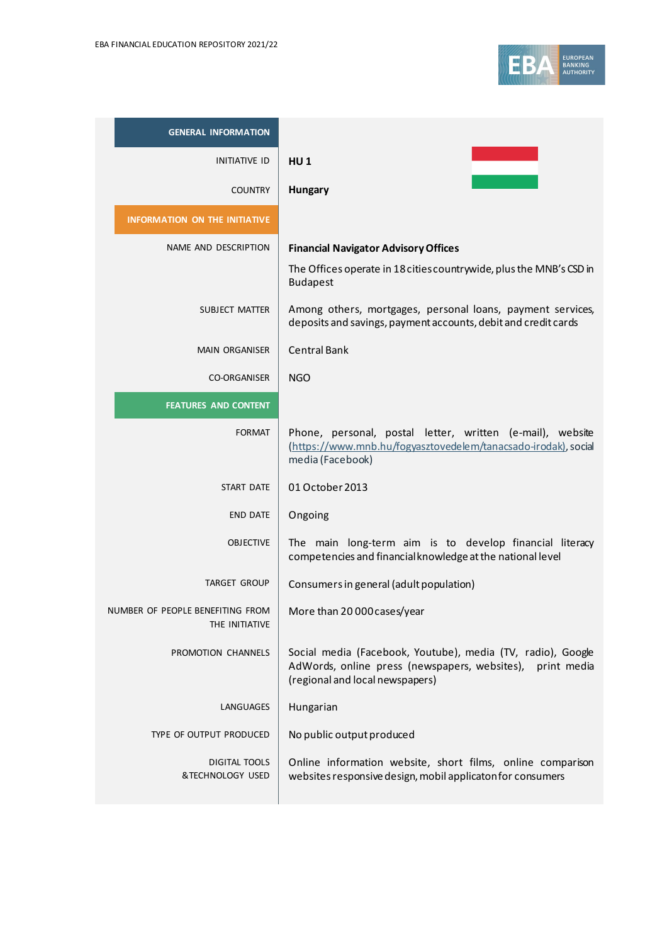

| <b>GENERAL INFORMATION</b>                         |                                                                                                                                                                |
|----------------------------------------------------|----------------------------------------------------------------------------------------------------------------------------------------------------------------|
| <b>INITIATIVE ID</b>                               | H <sub>U</sub> 1                                                                                                                                               |
| <b>COUNTRY</b>                                     | Hungary                                                                                                                                                        |
| <b>INFORMATION ON THE INITIATIVE</b>               |                                                                                                                                                                |
| NAME AND DESCRIPTION                               | <b>Financial Navigator Advisory Offices</b>                                                                                                                    |
|                                                    | The Offices operate in 18 cities countrywide, plus the MNB's CSD in<br><b>Budapest</b>                                                                         |
| SUBJECT MATTER                                     | Among others, mortgages, personal loans, payment services,<br>deposits and savings, payment accounts, debit and credit cards                                   |
| <b>MAIN ORGANISER</b>                              | <b>Central Bank</b>                                                                                                                                            |
| <b>CO-ORGANISER</b>                                | <b>NGO</b>                                                                                                                                                     |
| <b>FEATURES AND CONTENT</b>                        |                                                                                                                                                                |
| <b>FORMAT</b>                                      | Phone, personal, postal letter, written (e-mail), website<br>(https://www.mnb.hu/fogyasztovedelem/tanacsado-irodak), social<br>media (Facebook)                |
| <b>START DATE</b>                                  | 01 October 2013                                                                                                                                                |
| <b>END DATE</b>                                    | Ongoing                                                                                                                                                        |
| <b>OBJECTIVE</b>                                   | The main long-term aim is to develop financial literacy<br>competencies and financial knowledge at the national level                                          |
| <b>TARGET GROUP</b>                                | Consumers in general (adult population)                                                                                                                        |
| NUMBER OF PEOPLE BENEFITING FROM<br>THE INITIATIVE | More than 20 000 cases/year                                                                                                                                    |
| PROMOTION CHANNELS                                 | Social media (Facebook, Youtube), media (TV, radio), Google<br>AdWords, online press (newspapers, websites),<br>print media<br>(regional and local newspapers) |
| LANGUAGES                                          | Hungarian                                                                                                                                                      |
| TYPE OF OUTPUT PRODUCED                            | No public output produced                                                                                                                                      |
| <b>DIGITAL TOOLS</b><br>&TECHNOLOGY USED           | Online information website, short films, online comparison<br>websites responsive design, mobil applicaton for consumers                                       |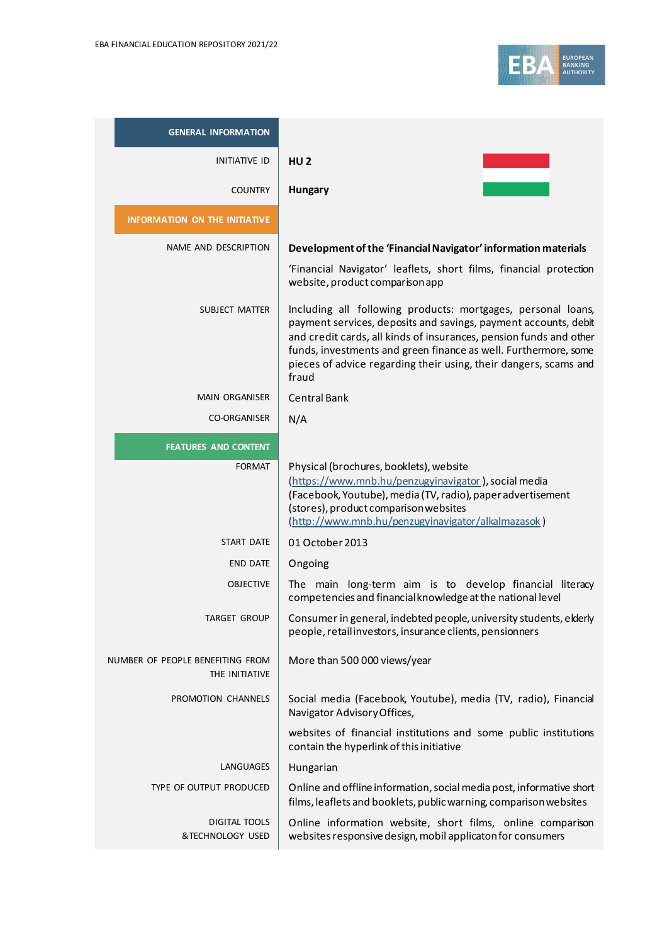

| <b>GENERAL INFORMATION</b>                         |                                                                                                                                                                                                                                                                                                                                                       |
|----------------------------------------------------|-------------------------------------------------------------------------------------------------------------------------------------------------------------------------------------------------------------------------------------------------------------------------------------------------------------------------------------------------------|
| <b>INITIATIVE ID</b>                               | HU <sub>2</sub>                                                                                                                                                                                                                                                                                                                                       |
| <b>COUNTRY</b>                                     | Hungary                                                                                                                                                                                                                                                                                                                                               |
| <b>INFORMATION ON THE INITIATIVE</b>               |                                                                                                                                                                                                                                                                                                                                                       |
| NAME AND DESCRIPTION                               | Development of the 'Financial Navigator' information materials                                                                                                                                                                                                                                                                                        |
|                                                    | 'Financial Navigator' leaflets, short films, financial protection<br>website, product comparison app                                                                                                                                                                                                                                                  |
| SUBJECT MATTER                                     | Including all following products: mortgages, personal loans,<br>payment services, deposits and savings, payment accounts, debit<br>and credit cards, all kinds of insurances, pension funds and other<br>funds, investments and green finance as well. Furthermore, some<br>pieces of advice regarding their using, their dangers, scams and<br>fraud |
| <b>MAIN ORGANISER</b>                              | <b>Central Bank</b>                                                                                                                                                                                                                                                                                                                                   |
| <b>CO-ORGANISER</b>                                | N/A                                                                                                                                                                                                                                                                                                                                                   |
| <b>FEATURES AND CONTENT</b>                        |                                                                                                                                                                                                                                                                                                                                                       |
| <b>FORMAT</b>                                      | Physical (brochures, booklets), website<br>(https://www.mnb.hu/penzugyinavigator), social media<br>(Facebook, Youtube), media (TV, radio), paper advertisement<br>(stores), product comparison websites<br>(http://www.mnb.hu/penzugyinavigator/alkalmazasok)                                                                                         |
| <b>START DATE</b>                                  | 01 October 2013                                                                                                                                                                                                                                                                                                                                       |
| <b>END DATE</b>                                    | Ongoing                                                                                                                                                                                                                                                                                                                                               |
| <b>OBJECTIVE</b>                                   | The main long-term aim is to develop financial literacy<br>competencies and financial knowledge at the national level                                                                                                                                                                                                                                 |
| TARGET GROUP                                       | Consumer in general, indebted people, university students, elderly<br>people, retail investors, insurance clients, pensionners                                                                                                                                                                                                                        |
| NUMBER OF PEOPLE BENEFITING FROM<br>THE INITIATIVE | More than 500 000 views/year                                                                                                                                                                                                                                                                                                                          |
| PROMOTION CHANNELS                                 | Social media (Facebook, Youtube), media (TV, radio), Financial<br>Navigator Advisory Offices,                                                                                                                                                                                                                                                         |
|                                                    | websites of financial institutions and some public institutions<br>contain the hyperlink of this initiative                                                                                                                                                                                                                                           |
| LANGUAGES                                          | Hungarian                                                                                                                                                                                                                                                                                                                                             |
| TYPE OF OUTPUT PRODUCED                            | Online and offline information, social media post, informative short<br>films, leaflets and booklets, public warning, comparison websites                                                                                                                                                                                                             |
| <b>DIGITAL TOOLS</b><br>&TECHNOLOGY USED           | Online information website, short films, online comparison<br>websites responsive design, mobil applicaton for consumers                                                                                                                                                                                                                              |